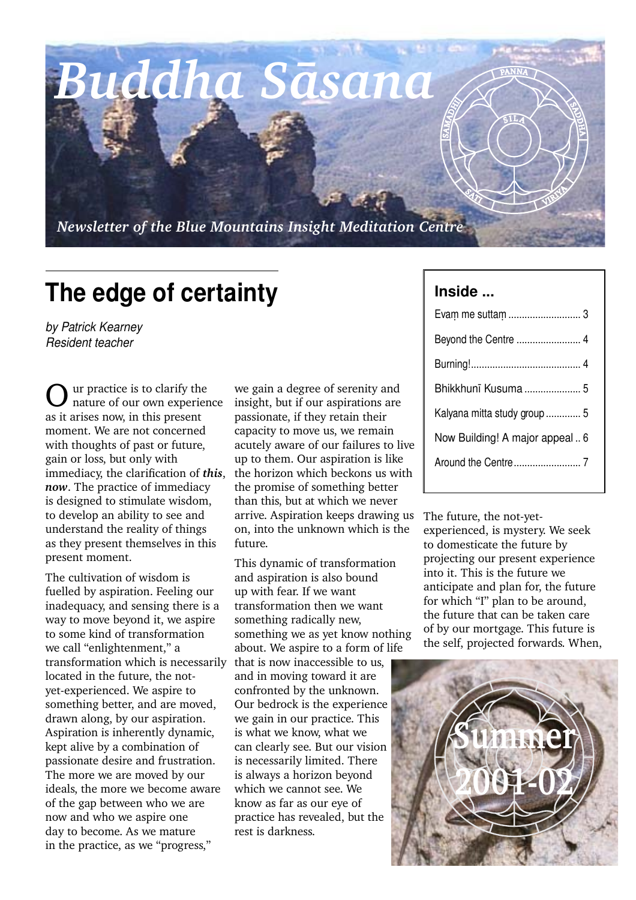*Buddha Sàsana*

*Newsletter of the Blue Mountains Insight Meditation Centre*

## **The edge of certainty**

*by Patrick Kearney Resident teacher*

Our practice is to clarify the nature of our own experience as it arises now, in this present moment. We are not concerned with thoughts of past or future, gain or loss, but only with immediacy, the clarification of *this*, *now*. The practice of immediacy is designed to stimulate wisdom, to develop an ability to see and understand the reality of things as they present themselves in this present moment.

The cultivation of wisdom is fuelled by aspiration. Feeling our inadequacy, and sensing there is a way to move beyond it, we aspire to some kind of transformation we call "enlightenment," a transformation which is necessarily located in the future, the notyet-experienced. We aspire to something better, and are moved, drawn along, by our aspiration. Aspiration is inherently dynamic, kept alive by a combination of passionate desire and frustration. The more we are moved by our ideals, the more we become aware of the gap between who we are now and who we aspire one day to become. As we mature in the practice, as we "progress,"

we gain a degree of serenity and insight, but if our aspirations are passionate, if they retain their capacity to move us, we remain acutely aware of our failures to live up to them. Our aspiration is like the horizon which beckons us with the promise of something better than this, but at which we never arrive. Aspiration keeps drawing us on, into the unknown which is the future.

This dynamic of transformation and aspiration is also bound up with fear. If we want transformation then we want something radically new, something we as yet know nothing about. We aspire to a form of life that is now inaccessible to us, and in moving toward it are confronted by the unknown. Our bedrock is the experience we gain in our practice. This is what we know, what we can clearly see. But our vision is necessarily limited. There is always a horizon beyond which we cannot see. We know as far as our eye of practice has revealed, but the rest is darkness.

#### **Inside ...**

 $\overline{\mathcal{S}}$  $\langle \rangle$ 

SAMADA<br>SAMADA<br>SAMADA

| Bhikkhunī Kusuma  5             |  |
|---------------------------------|--|
| Kalyana mitta study group  5    |  |
| Now Building! A major appeal  6 |  |
|                                 |  |
|                                 |  |

S $5LL$   $\tilde{A}$ 

**VIRGIA** 

SS<br>SK H $\blacktriangleright$ 

PANNA

The future, the not-yetexperienced, is mystery. We seek to domesticate the future by projecting our present experience into it. This is the future we anticipate and plan for, the future for which "I" plan to be around, the future that can be taken care of by our mortgage. This future is the self, projected forwards. When,

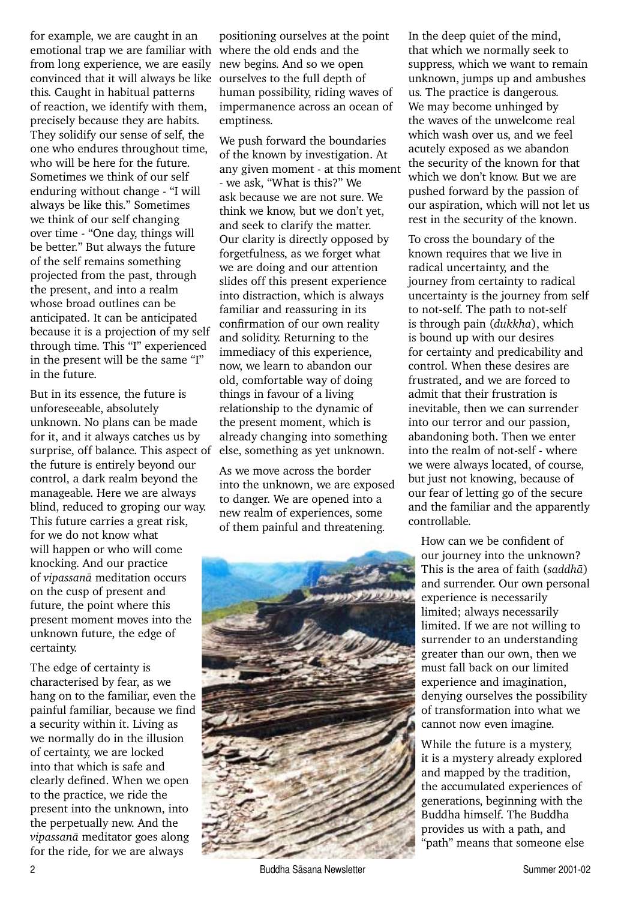for example, we are caught in an emotional trap we are familiar with where the old ends and the from long experience, we are easily new begins. And so we open convinced that it will always be like ourselves to the full depth of this. Caught in habitual patterns of reaction, we identify with them, precisely because they are habits. They solidify our sense of self, the one who endures throughout time, who will be here for the future. Sometimes we think of our self enduring without change - "I will always be like this." Sometimes we think of our self changing over time - "One day, things will be better." But always the future of the self remains something projected from the past, through the present, and into a realm whose broad outlines can be anticipated. It can be anticipated because it is a projection of my self through time. This "I" experienced in the present will be the same "I" in the future.

But in its essence, the future is unforeseeable, absolutely unknown. No plans can be made for it, and it always catches us by surprise, off balance. This aspect of the future is entirely beyond our control, a dark realm beyond the manageable. Here we are always blind, reduced to groping our way. This future carries a great risk, for we do not know what will happen or who will come knocking. And our practice of *vipassanà* meditation occurs on the cusp of present and future, the point where this present moment moves into the unknown future, the edge of certainty.

The edge of certainty is characterised by fear, as we hang on to the familiar, even the painful familiar, because we find a security within it. Living as we normally do in the illusion of certainty, we are locked into that which is safe and clearly defined. When we open to the practice, we ride the present into the unknown, into the perpetually new. And the *vipassanà* meditator goes along for the ride, for we are always

positioning ourselves at the point human possibility, riding waves of impermanence across an ocean of emptiness.

We push forward the boundaries of the known by investigation. At any given moment - at this moment - we ask, "What is this?" We ask because we are not sure. We think we know, but we don't yet, and seek to clarify the matter. Our clarity is directly opposed by forgetfulness, as we forget what we are doing and our attention slides off this present experience into distraction, which is always familiar and reassuring in its confirmation of our own reality and solidity. Returning to the immediacy of this experience, now, we learn to abandon our old, comfortable way of doing things in favour of a living relationship to the dynamic of the present moment, which is already changing into something else, something as yet unknown.

As we move across the border into the unknown, we are exposed to danger. We are opened into a new realm of experiences, some of them painful and threatening.



In the deep quiet of the mind, that which we normally seek to suppress, which we want to remain unknown, jumps up and ambushes us. The practice is dangerous. We may become unhinged by the waves of the unwelcome real which wash over us, and we feel acutely exposed as we abandon the security of the known for that which we don't know. But we are pushed forward by the passion of our aspiration, which will not let us rest in the security of the known.

To cross the boundary of the known requires that we live in radical uncertainty, and the journey from certainty to radical uncertainty is the journey from self to not-self. The path to not-self is through pain (*dukkha*), which is bound up with our desires for certainty and predicability and control. When these desires are frustrated, and we are forced to admit that their frustration is inevitable, then we can surrender into our terror and our passion, abandoning both. Then we enter into the realm of not-self - where we were always located, of course, but just not knowing, because of our fear of letting go of the secure and the familiar and the apparently controllable.

How can we be confident of our journey into the unknown? This is the area of faith (*saddhà*) and surrender. Our own personal experience is necessarily limited; always necessarily limited. If we are not willing to surrender to an understanding greater than our own, then we must fall back on our limited experience and imagination, denying ourselves the possibility of transformation into what we cannot now even imagine.

While the future is a mystery, it is a mystery already explored and mapped by the tradition, the accumulated experiences of generations, beginning with the Buddha himself. The Buddha provides us with a path, and "path" means that someone else

2 Buddha Sāsana Newsletter Summer 2001-02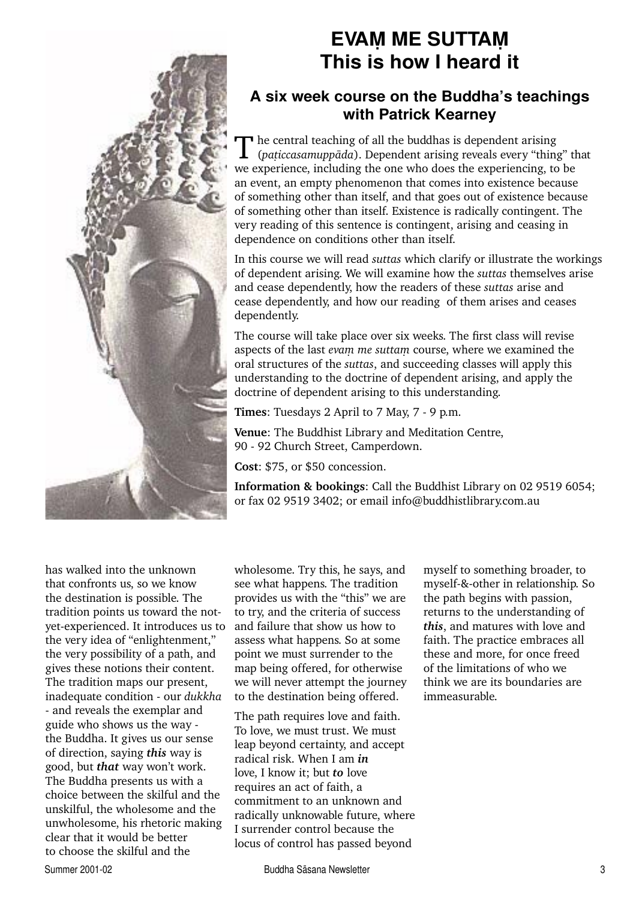

### **EVAM ME SUTTAM This is how I heard it**

#### **A six week course on the Buddha's teachings with Patrick Kearney**

The central teaching of all the buddhas is dependent arising<br>
(*paticcasamuppāda*). Dependent arising reveals every "thing" that we experience, including the one who does the experiencing, to be an event, an empty phenomenon that comes into existence because of something other than itself, and that goes out of existence because of something other than itself. Existence is radically contingent. The very reading of this sentence is contingent, arising and ceasing in dependence on conditions other than itself.

In this course we will read *suttas* which clarify or illustrate the workings of dependent arising. We will examine how the *suttas* themselves arise and cease dependently, how the readers of these *suttas* arise and cease dependently, and how our reading of them arises and ceases dependently.

The course will take place over six weeks. The first class will revise aspects of the last *evam me suttam* course, where we examined the oral structures of the *suttas*, and succeeding classes will apply this understanding to the doctrine of dependent arising, and apply the doctrine of dependent arising to this understanding.

**Times**: Tuesdays 2 April to 7 May, 7 - 9 p.m.

**Venue**: The Buddhist Library and Meditation Centre, 90 - 92 Church Street, Camperdown.

**Cost**: \$75, or \$50 concession.

**Information & bookings**: Call the Buddhist Library on 02 9519 6054; or fax 02 9519 3402; or email info@buddhistlibrary.com.au

has walked into the unknown that confronts us, so we know the destination is possible. The tradition points us toward the notyet-experienced. It introduces us to the very idea of "enlightenment," the very possibility of a path, and gives these notions their content. The tradition maps our present, inadequate condition - our *dukkha*  - and reveals the exemplar and guide who shows us the way the Buddha. It gives us our sense of direction, saying *this* way is good, but *that* way won't work. The Buddha presents us with a choice between the skilful and the unskilful, the wholesome and the unwholesome, his rhetoric making clear that it would be better to choose the skilful and the

wholesome. Try this, he says, and see what happens. The tradition provides us with the "this" we are to try, and the criteria of success and failure that show us how to assess what happens. So at some point we must surrender to the map being offered, for otherwise we will never attempt the journey to the destination being offered.

The path requires love and faith. To love, we must trust. We must leap beyond certainty, and accept radical risk. When I am *in*  love, I know it; but *to* love requires an act of faith, a commitment to an unknown and radically unknowable future, where I surrender control because the locus of control has passed beyond

myself to something broader, to myself-&-other in relationship. So the path begins with passion, returns to the understanding of *this*, and matures with love and faith. The practice embraces all these and more, for once freed of the limitations of who we think we are its boundaries are immeasurable.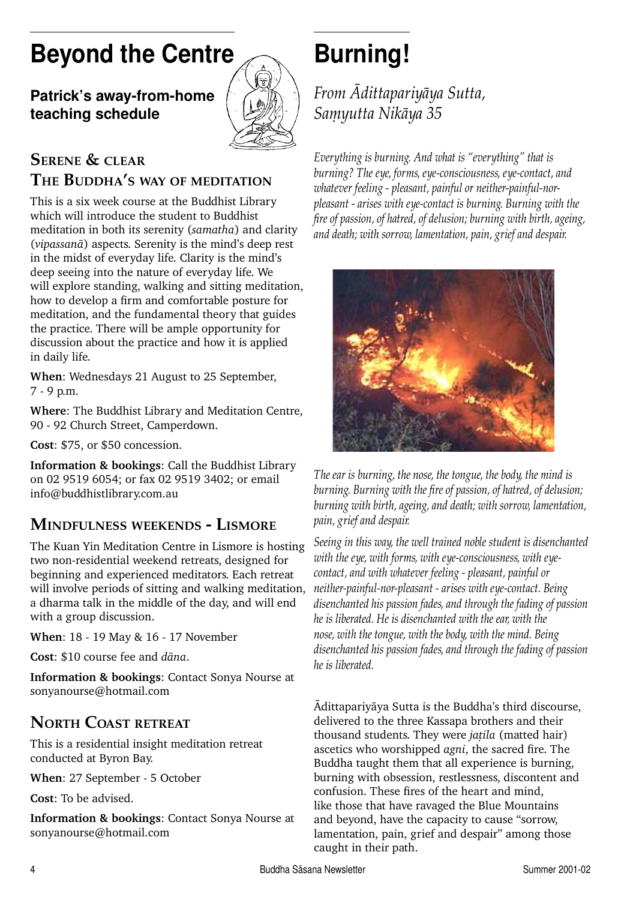# **Beyond the Centre**

### **Patrick's away-from-home teaching schedule**



#### **SERENE & CLEAR THE BUDDHA'S WAY OF MEDITATION**

This is a six week course at the Buddhist Library which will introduce the student to Buddhist meditation in both its serenity (*samatha*) and clarity (*vipassanà*) aspects. Serenity is the mind's deep rest in the midst of everyday life. Clarity is the mind's deep seeing into the nature of everyday life. We will explore standing, walking and sitting meditation, how to develop a firm and comfortable posture for meditation, and the fundamental theory that guides the practice. There will be ample opportunity for discussion about the practice and how it is applied in daily life.

**When**: Wednesdays 21 August to 25 September, 7 - 9 p.m.

**Where**: The Buddhist Library and Meditation Centre, 90 - 92 Church Street, Camperdown.

**Cost**: \$75, or \$50 concession.

**Information & bookings**: Call the Buddhist Library on 02 9519 6054; or fax 02 9519 3402; or email info@buddhistlibrary.com.au

### **MINDFULNESS WEEKENDS - LISMORE**

The Kuan Yin Meditation Centre in Lismore is hosting two non-residential weekend retreats, designed for beginning and experienced meditators. Each retreat will involve periods of sitting and walking meditation, a dharma talk in the middle of the day, and will end with a group discussion.

**When**: 18 - 19 May & 16 - 17 November

**Cost**: \$10 course fee and *dàna*.

**Information & bookings**: Contact Sonya Nourse at sonyanourse@hotmail.com

### **NORTH COAST RETREAT**

This is a residential insight meditation retreat conducted at Byron Bay.

**When**: 27 September - 5 October

**Cost**: To be advised.

**Information & bookings**: Contact Sonya Nourse at sonyanourse@hotmail.com

# **Burning!**

*From âdittapariyàya Sutta,* Samyutta Nikāya 35

*Everything is burning. And what is "everything" that is burning? The eye, forms, eye-consciousness, eye-contact, and whatever feeling - pleasant, painful or neither-painful-norpleasant - arises with eye-contact is burning. Burning with the fi re of passion, of hatred, of delusion; burning with birth, ageing, and death; with sorrow, lamentation, pain, grief and despair.*



*The ear is burning, the nose, the tongue, the body, the mind is*  burning. Burning with the fire of passion, of hatred, of delusion; *burning with birth, ageing, and death; with sorrow, lamentation, pain, grief and despair.*

*Seeing in this way, the well trained noble student is disenchanted with the eye, with forms, with eye-consciousness, with eyecontact, and with whatever feeling - pleasant, painful or neither-painful-nor-pleasant - arises with eye-contact. Being disenchanted his passion fades, and through the fading of passion he is liberated. He is disenchanted with the ear, with the nose, with the tongue, with the body, with the mind. Being disenchanted his passion fades, and through the fading of passion he is liberated.*

âdittapariyàya Sutta is the Buddha's third discourse, delivered to the three Kassapa brothers and their thousand students. They were *jatila* (matted hair) ascetics who worshipped *agni*, the sacred fire. The Buddha taught them that all experience is burning, burning with obsession, restlessness, discontent and confusion. These fires of the heart and mind, like those that have ravaged the Blue Mountains and beyond, have the capacity to cause "sorrow, lamentation, pain, grief and despair" among those caught in their path.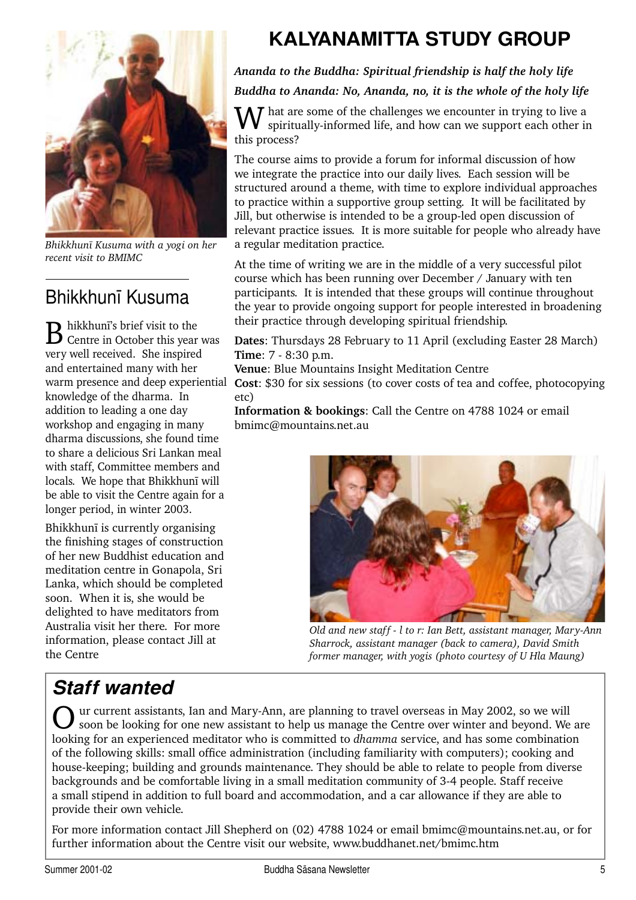

*Bhikkhunã Kusuma with a yogi on her recent visit to BMIMC*

## Bhikkhunã Kusuma

**B** hikkhunī's brief visit to the Centre in October this year was very well received. She inspired and entertained many with her knowledge of the dharma. In addition to leading a one day workshop and engaging in many dharma discussions, she found time to share a delicious Sri Lankan meal with staff, Committee members and locals. We hope that Bhikkhunã will be able to visit the Centre again for a longer period, in winter 2003.

Bhikkhunã is currently organising the finishing stages of construction of her new Buddhist education and meditation centre in Gonapola, Sri Lanka, which should be completed soon. When it is, she would be delighted to have meditators from Australia visit her there. For more information, please contact Jill at the Centre

## **KALYANAMITTA STUDY GROUP**

#### *Ananda to the Buddha: Spiritual friendship is half the holy life Buddha to Ananda: No, Ananda, no, it is the whole of the holy life*

W hat are some of the challenges we encounter in trying to live a spiritually-informed life, and how can we support each other in this process?

The course aims to provide a forum for informal discussion of how we integrate the practice into our daily lives. Each session will be structured around a theme, with time to explore individual approaches to practice within a supportive group setting. It will be facilitated by Jill, but otherwise is intended to be a group-led open discussion of relevant practice issues. It is more suitable for people who already have a regular meditation practice.

At the time of writing we are in the middle of a very successful pilot course which has been running over December / January with ten participants. It is intended that these groups will continue throughout the year to provide ongoing support for people interested in broadening their practice through developing spiritual friendship.

**Dates**: Thursdays 28 February to 11 April (excluding Easter 28 March) **Time**: 7 - 8:30 p.m.

**Venue**: Blue Mountains Insight Meditation Centre

warm presence and deep experiential **Cost**: \$30 for six sessions (to cover costs of tea and coffee, photocopying etc)

> **Information & bookings**: Call the Centre on 4788 1024 or email bmimc@mountains.net.au



*Old and new staff - l to r: Ian Bett, assistant manager, Mary-Ann Sharrock, assistant manager (back to camera), David Smith former manager, with yogis (photo courtesy of U Hla Maung)*

## *Staff wanted*

our current assistants, Ian and Mary-Ann, are planning to travel overseas in May 2002, so we will soon be looking for one new assistant to help us manage the Centre over winter and beyond. We are looking for an experienced meditator who is committed to *dhamma* service, and has some combination of the following skills: small office administration (including familiarity with computers); cooking and house-keeping; building and grounds maintenance. They should be able to relate to people from diverse backgrounds and be comfortable living in a small meditation community of 3-4 people. Staff receive a small stipend in addition to full board and accommodation, and a car allowance if they are able to provide their own vehicle.

For more information contact Jill Shepherd on (02) 4788 1024 or email bmimc@mountains.net.au, or for further information about the Centre visit our website, www.buddhanet.net/bmimc.htm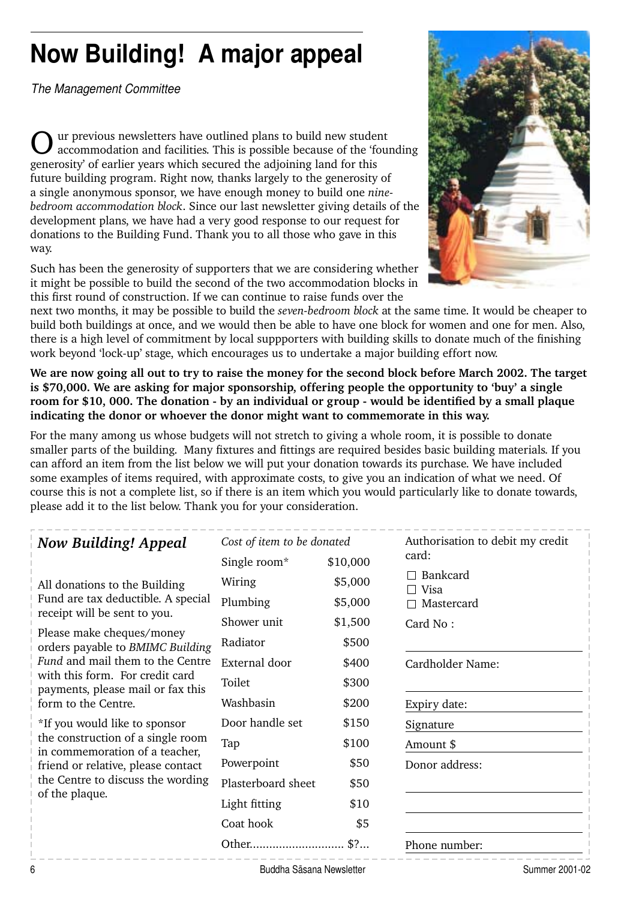# **Now Building! A major appeal**

*The Management Committee*

ur previous newsletters have outlined plans to build new student accommodation and facilities. This is possible because of the 'founding generosity' of earlier years which secured the adjoining land for this future building program. Right now, thanks largely to the generosity of a single anonymous sponsor, we have enough money to build one *ninebedroom accommodation block*. Since our last newsletter giving details of the development plans, we have had a very good response to our request for donations to the Building Fund. Thank you to all those who gave in this way.

Such has been the generosity of supporters that we are considering whether it might be possible to build the second of the two accommodation blocks in this first round of construction. If we can continue to raise funds over the



next two months, it may be possible to build the *seven-bedroom block* at the same time. It would be cheaper to build both buildings at once, and we would then be able to have one block for women and one for men. Also, there is a high level of commitment by local suppporters with building skills to donate much of the finishing work beyond 'lock-up' stage, which encourages us to undertake a major building effort now.

**We are now going all out to try to raise the money for the second block before March 2002. The target is \$70,000. We are asking for major sponsorship, offering people the opportunity to 'buy' a single**  room for \$10, 000. The donation - by an individual or group - would be identified by a small plaque **indicating the donor or whoever the donor might want to commemorate in this way.**

For the many among us whose budgets will not stretch to giving a whole room, it is possible to donate smaller parts of the building. Many fixtures and fittings are required besides basic building materials. If you can afford an item from the list below we will put your donation towards its purchase. We have included some examples of items required, with approximate costs, to give you an indication of what we need. Of course this is not a complete list, so if there is an item which you would particularly like to donate towards, please add it to the list below. Thank you for your consideration.

| <b>Now Building! Appeal</b>                                                                                                                                                                                                                                                                             | Cost of item to be donated |          | Authorisation to debit my credit |
|---------------------------------------------------------------------------------------------------------------------------------------------------------------------------------------------------------------------------------------------------------------------------------------------------------|----------------------------|----------|----------------------------------|
|                                                                                                                                                                                                                                                                                                         | Single room*               | \$10,000 | card:                            |
| All donations to the Building<br>Fund are tax deductible. A special<br>receipt will be sent to you.<br>Please make cheques/money<br>orders payable to BMIMC Building<br>Fund and mail them to the Centre<br>with this form. For credit card<br>payments, please mail or fax this<br>form to the Centre. | Wiring                     | \$5,000  | Bankcard<br>Visa                 |
|                                                                                                                                                                                                                                                                                                         | Plumbing                   | \$5,000  | Mastercard                       |
|                                                                                                                                                                                                                                                                                                         | Shower unit                | \$1,500  | Card No:                         |
|                                                                                                                                                                                                                                                                                                         | Radiator                   | \$500    |                                  |
|                                                                                                                                                                                                                                                                                                         | External door              | \$400    | Cardholder Name:                 |
|                                                                                                                                                                                                                                                                                                         | Toilet                     | \$300    |                                  |
|                                                                                                                                                                                                                                                                                                         | Washbasin                  | \$200    | Expiry date:                     |
| *If you would like to sponsor<br>the construction of a single room<br>in commemoration of a teacher,<br>friend or relative, please contact<br>the Centre to discuss the wording<br>of the plaque.                                                                                                       | Door handle set            | \$150    | Signature                        |
|                                                                                                                                                                                                                                                                                                         | Tap                        | \$100    | Amount \$                        |
|                                                                                                                                                                                                                                                                                                         | Powerpoint                 | \$50     | Donor address:                   |
|                                                                                                                                                                                                                                                                                                         | Plasterboard sheet         | \$50     |                                  |
|                                                                                                                                                                                                                                                                                                         | Light fitting              | \$10     |                                  |
|                                                                                                                                                                                                                                                                                                         | Coat hook                  | \$5      |                                  |
|                                                                                                                                                                                                                                                                                                         | Other                      | \$?      | Phone number:                    |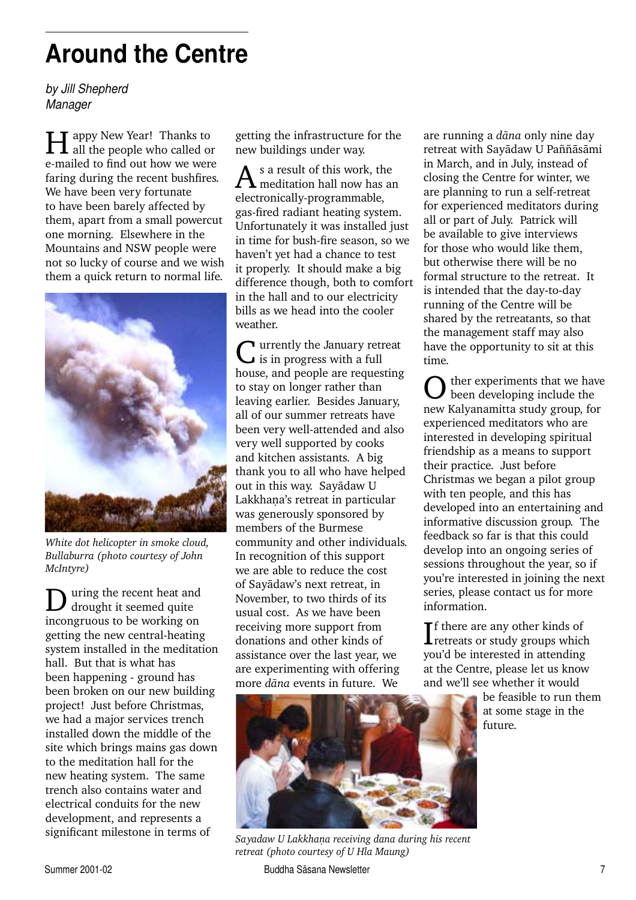# **Around the Centre**

*by Jill Shepherd Manager*

**H** appy New Year! Thanks to all the people who called or e-mailed to find out how we were faring during the recent bushfires. We have been very fortunate to have been barely affected by them, apart from a small powercut one morning. Elsewhere in the Mountains and NSW people were not so lucky of course and we wish them a quick return to normal life.



*White dot helicopter in smoke cloud, Bullaburra (photo courtesy of John McIntyre)*

**D** uring the recent heat and drought it seemed quite incongruous to be working on getting the new central-heating system installed in the meditation hall. But that is what has been happening - ground has been broken on our new building project! Just before Christmas, we had a major services trench installed down the middle of the site which brings mains gas down to the meditation hall for the new heating system. The same trench also contains water and electrical conduits for the new development, and represents a significant milestone in terms of

getting the infrastructure for the new buildings under way.

As a result of this work, the<br>meditation hall now has an electronically-programmable, gas-fired radiant heating system. Unfortunately it was installed just in time for bush-fire season, so we haven't yet had a chance to test it properly. It should make a big difference though, both to comfort in the hall and to our electricity bills as we head into the cooler weather.

T urrently the January retreat is in progress with a full house, and people are requesting to stay on longer rather than leaving earlier. Besides January, all of our summer retreats have been very well-attended and also very well supported by cooks and kitchen assistants. A big thank you to all who have helped out in this way. Sayàdaw U Lakkhana's retreat in particular was generously sponsored by members of the Burmese community and other individuals. In recognition of this support we are able to reduce the cost of Sayàdaw's next retreat, in November, to two thirds of its usual cost. As we have been receiving more support from donations and other kinds of assistance over the last year, we are experimenting with offering more *dàna* events in future. We

are running a *dàna* only nine day retreat with Savādaw U Paññāsāmi in March, and in July, instead of closing the Centre for winter, we are planning to run a self-retreat for experienced meditators during all or part of July. Patrick will be available to give interviews for those who would like them, but otherwise there will be no formal structure to the retreat. It is intended that the day-to-day running of the Centre will be shared by the retreatants, so that the management staff may also have the opportunity to sit at this time.

 $\sum$  ther experiments that we have been developing include the new Kalyanamitta study group, for experienced meditators who are interested in developing spiritual friendship as a means to support their practice. Just before Christmas we began a pilot group with ten people, and this has developed into an entertaining and informative discussion group. The feedback so far is that this could develop into an ongoing series of sessions throughout the year, so if you're interested in joining the next series, please contact us for more information.

If there are any other kinds of<br>retreats or study groups which retreats or study groups which you'd be interested in attending at the Centre, please let us know and we'll see whether it would

> be feasible to run them at some stage in the future.



Sayadaw U Lakkhaṇa receiving dana during his recent *retreat (photo courtesy of U Hla Maung)*